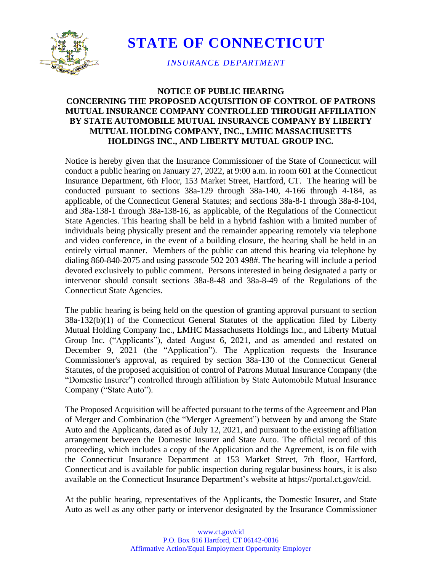

**STATE OF CONNECTICUT**

*INSURANCE DEPARTMENT*

## **NOTICE OF PUBLIC HEARING CONCERNING THE PROPOSED ACQUISITION OF CONTROL OF PATRONS MUTUAL INSURANCE COMPANY CONTROLLED THROUGH AFFILIATION BY STATE AUTOMOBILE MUTUAL INSURANCE COMPANY BY LIBERTY MUTUAL HOLDING COMPANY, INC., LMHC MASSACHUSETTS HOLDINGS INC., AND LIBERTY MUTUAL GROUP INC.**

Notice is hereby given that the Insurance Commissioner of the State of Connecticut will conduct a public hearing on January 27, 2022, at 9:00 a.m. in room 601 at the Connecticut Insurance Department, 6th Floor, 153 Market Street, Hartford, CT. The hearing will be conducted pursuant to sections 38a-129 through 38a-140, 4-166 through 4-184, as applicable, of the Connecticut General Statutes; and sections 38a-8-1 through 38a-8-104, and 38a-138-1 through 38a-138-16, as applicable, of the Regulations of the Connecticut State Agencies. This hearing shall be held in a hybrid fashion with a limited number of individuals being physically present and the remainder appearing remotely via telephone and video conference, in the event of a building closure, the hearing shall be held in an entirely virtual manner. Members of the public can attend this hearing via telephone by dialing 860-840-2075 and using passcode 502 203 498#. The hearing will include a period devoted exclusively to public comment. Persons interested in being designated a party or intervenor should consult sections 38a-8-48 and 38a-8-49 of the Regulations of the Connecticut State Agencies.

The public hearing is being held on the question of granting approval pursuant to section 38a-132(b)(1) of the Connecticut General Statutes of the application filed by Liberty Mutual Holding Company Inc., LMHC Massachusetts Holdings Inc., and Liberty Mutual Group Inc. ("Applicants"), dated August 6, 2021, and as amended and restated on December 9, 2021 (the "Application"). The Application requests the Insurance Commissioner's approval, as required by section 38a-130 of the Connecticut General Statutes, of the proposed acquisition of control of Patrons Mutual Insurance Company (the "Domestic Insurer") controlled through affiliation by State Automobile Mutual Insurance Company ("State Auto").

The Proposed Acquisition will be affected pursuant to the terms of the Agreement and Plan of Merger and Combination (the "Merger Agreement") between by and among the State Auto and the Applicants, dated as of July 12, 2021, and pursuant to the existing affiliation arrangement between the Domestic Insurer and State Auto. The official record of this proceeding, which includes a copy of the Application and the Agreement, is on file with the Connecticut Insurance Department at 153 Market Street, 7th floor, Hartford, Connecticut and is available for public inspection during regular business hours, it is also available on the Connecticut Insurance Department's website at https://portal.ct.gov/cid.

At the public hearing, representatives of the Applicants, the Domestic Insurer, and State Auto as well as any other party or intervenor designated by the Insurance Commissioner